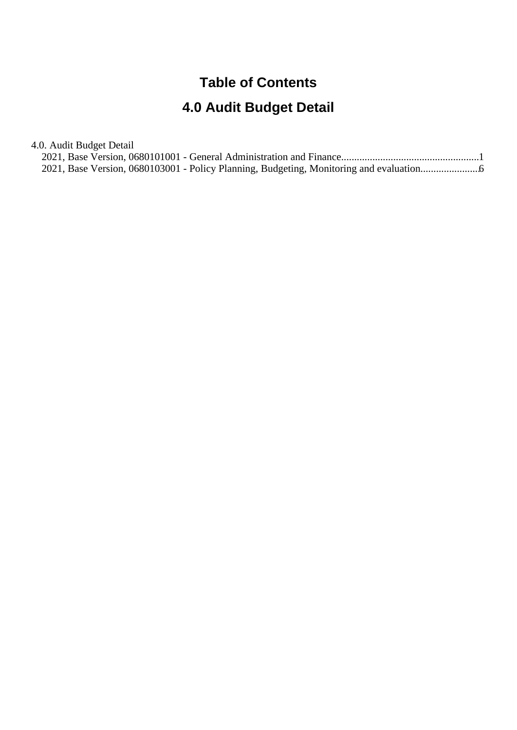# **Table of Contents**

# **4.0 Audit Budget Detail**

4.0. Audit Budget Detail

|  |  | 2021, Base Version, 0680103001 - Policy Planning, Budgeting, Monitoring and evaluation |  |
|--|--|----------------------------------------------------------------------------------------|--|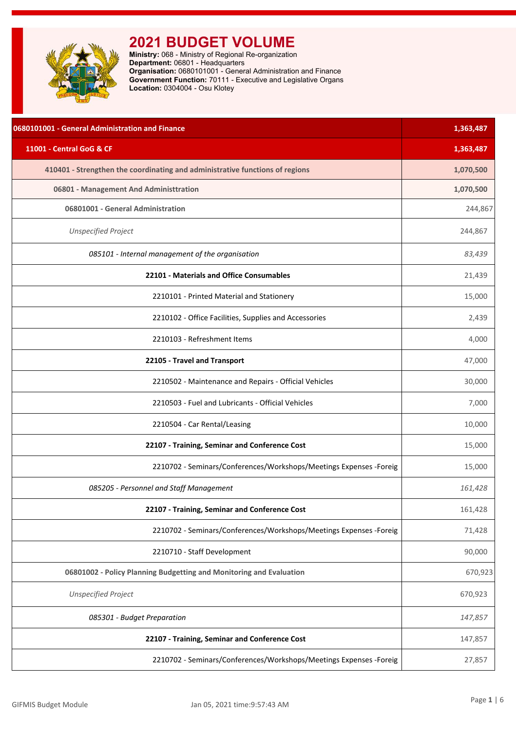<span id="page-1-0"></span>

| 0680101001 - General Administration and Finance                              | 1,363,487 |
|------------------------------------------------------------------------------|-----------|
| 11001 - Central GoG & CF                                                     | 1,363,487 |
| 410401 - Strengthen the coordinating and administrative functions of regions | 1,070,500 |
| 06801 - Management And Administtration                                       | 1,070,500 |
| 06801001 - General Administration                                            | 244,867   |
| <b>Unspecified Project</b>                                                   | 244,867   |
| 085101 - Internal management of the organisation                             | 83,439    |
| 22101 - Materials and Office Consumables                                     | 21,439    |
| 2210101 - Printed Material and Stationery                                    | 15,000    |
| 2210102 - Office Facilities, Supplies and Accessories                        | 2,439     |
| 2210103 - Refreshment Items                                                  | 4,000     |
| 22105 - Travel and Transport                                                 | 47,000    |
| 2210502 - Maintenance and Repairs - Official Vehicles                        | 30,000    |
| 2210503 - Fuel and Lubricants - Official Vehicles                            | 7,000     |
| 2210504 - Car Rental/Leasing                                                 | 10,000    |
| 22107 - Training, Seminar and Conference Cost                                | 15,000    |
| 2210702 - Seminars/Conferences/Workshops/Meetings Expenses - Foreig          | 15,000    |
| 085205 - Personnel and Staff Management                                      | 161,428   |
| 22107 - Training, Seminar and Conference Cost                                | 161,428   |
| 2210702 - Seminars/Conferences/Workshops/Meetings Expenses -Foreig           | 71,428    |
| 2210710 - Staff Development                                                  | 90,000    |
| 06801002 - Policy Planning Budgetting and Monitoring and Evaluation          | 670,923   |
| <b>Unspecified Project</b>                                                   | 670,923   |
| 085301 - Budget Preparation                                                  | 147,857   |
| 22107 - Training, Seminar and Conference Cost                                | 147,857   |
| 2210702 - Seminars/Conferences/Workshops/Meetings Expenses - Foreig          | 27,857    |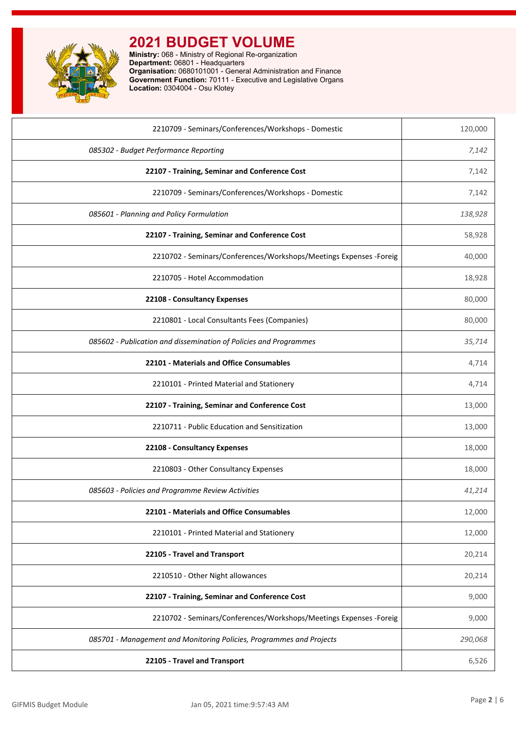

| 2210709 - Seminars/Conferences/Workshops - Domestic                  | 120,000 |
|----------------------------------------------------------------------|---------|
| 085302 - Budget Performance Reporting                                | 7,142   |
| 22107 - Training, Seminar and Conference Cost                        | 7,142   |
| 2210709 - Seminars/Conferences/Workshops - Domestic                  | 7,142   |
| 085601 - Planning and Policy Formulation                             | 138,928 |
| 22107 - Training, Seminar and Conference Cost                        | 58,928  |
| 2210702 - Seminars/Conferences/Workshops/Meetings Expenses -Foreig   | 40,000  |
| 2210705 - Hotel Accommodation                                        | 18,928  |
| 22108 - Consultancy Expenses                                         | 80,000  |
| 2210801 - Local Consultants Fees (Companies)                         | 80,000  |
| 085602 - Publication and dissemination of Policies and Programmes    | 35,714  |
| 22101 - Materials and Office Consumables                             | 4,714   |
| 2210101 - Printed Material and Stationery                            | 4,714   |
| 22107 - Training, Seminar and Conference Cost                        | 13,000  |
| 2210711 - Public Education and Sensitization                         | 13,000  |
| 22108 - Consultancy Expenses                                         | 18,000  |
| 2210803 - Other Consultancy Expenses                                 | 18,000  |
| 085603 - Policies and Programme Review Activities                    | 41,214  |
| 22101 - Materials and Office Consumables                             | 12,000  |
| 2210101 - Printed Material and Stationery                            | 12,000  |
| 22105 - Travel and Transport                                         | 20,214  |
| 2210510 - Other Night allowances                                     | 20,214  |
| 22107 - Training, Seminar and Conference Cost                        | 9,000   |
| 2210702 - Seminars/Conferences/Workshops/Meetings Expenses - Foreig  | 9,000   |
| 085701 - Management and Monitoring Policies, Programmes and Projects | 290,068 |
| 22105 - Travel and Transport                                         | 6,526   |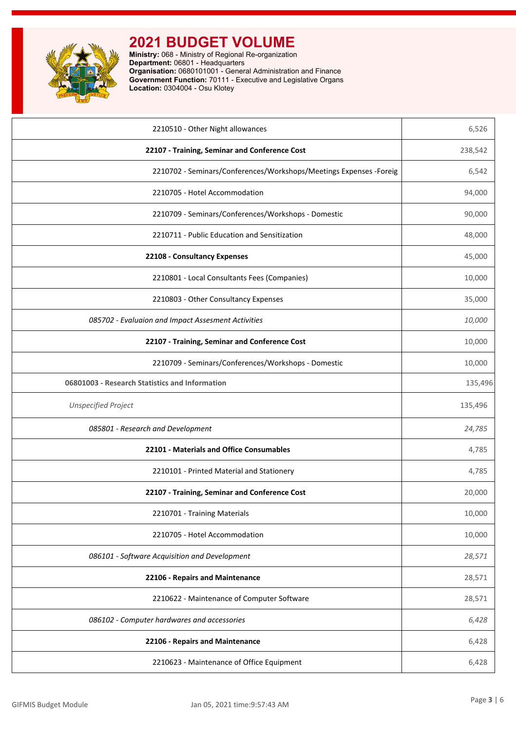

| 2210510 - Other Night allowances                                    | 6,526   |
|---------------------------------------------------------------------|---------|
| 22107 - Training, Seminar and Conference Cost                       | 238,542 |
| 2210702 - Seminars/Conferences/Workshops/Meetings Expenses - Foreig | 6,542   |
| 2210705 - Hotel Accommodation                                       | 94,000  |
| 2210709 - Seminars/Conferences/Workshops - Domestic                 | 90,000  |
| 2210711 - Public Education and Sensitization                        | 48,000  |
| 22108 - Consultancy Expenses                                        | 45,000  |
| 2210801 - Local Consultants Fees (Companies)                        | 10,000  |
| 2210803 - Other Consultancy Expenses                                | 35,000  |
| 085702 - Evaluaion and Impact Assesment Activities                  | 10,000  |
| 22107 - Training, Seminar and Conference Cost                       | 10,000  |
| 2210709 - Seminars/Conferences/Workshops - Domestic                 | 10,000  |
| 06801003 - Research Statistics and Information                      | 135,496 |
| <b>Unspecified Project</b>                                          | 135,496 |
| 085801 - Research and Development                                   | 24,785  |
| 22101 - Materials and Office Consumables                            | 4,785   |
| 2210101 - Printed Material and Stationery                           | 4,785   |
| 22107 - Training, Seminar and Conference Cost                       | 20,000  |
| 2210701 - Training Materials                                        | 10,000  |
| 2210705 - Hotel Accommodation                                       | 10,000  |
| 086101 - Software Acquisition and Development                       | 28,571  |
| 22106 - Repairs and Maintenance                                     | 28,571  |
| 2210622 - Maintenance of Computer Software                          | 28,571  |
| 086102 - Computer hardwares and accessories                         | 6,428   |
| 22106 - Repairs and Maintenance                                     | 6,428   |
| 2210623 - Maintenance of Office Equipment                           | 6,428   |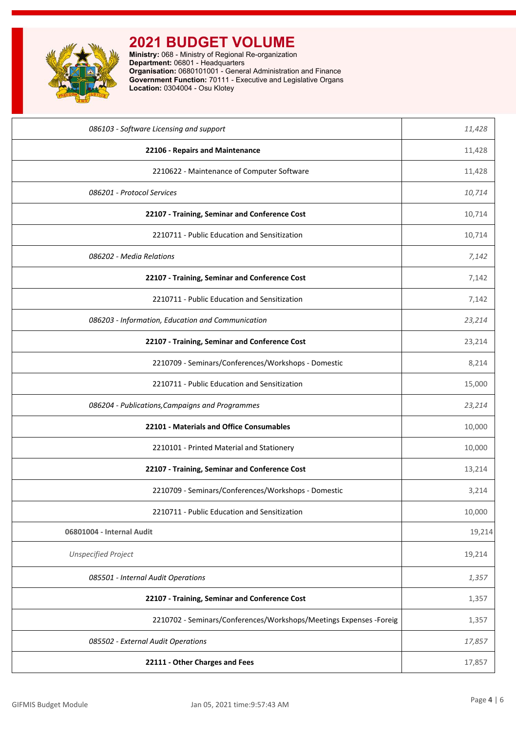

| 086103 - Software Licensing and support                             | 11,428 |
|---------------------------------------------------------------------|--------|
| 22106 - Repairs and Maintenance                                     | 11,428 |
| 2210622 - Maintenance of Computer Software                          | 11,428 |
| 086201 - Protocol Services                                          | 10,714 |
| 22107 - Training, Seminar and Conference Cost                       | 10,714 |
| 2210711 - Public Education and Sensitization                        | 10,714 |
| 086202 - Media Relations                                            | 7,142  |
| 22107 - Training, Seminar and Conference Cost                       | 7,142  |
| 2210711 - Public Education and Sensitization                        | 7,142  |
| 086203 - Information, Education and Communication                   | 23,214 |
| 22107 - Training, Seminar and Conference Cost                       | 23,214 |
| 2210709 - Seminars/Conferences/Workshops - Domestic                 | 8,214  |
| 2210711 - Public Education and Sensitization                        | 15,000 |
| 086204 - Publications, Campaigns and Programmes                     | 23,214 |
| 22101 - Materials and Office Consumables                            | 10,000 |
| 2210101 - Printed Material and Stationery                           | 10,000 |
| 22107 - Training, Seminar and Conference Cost                       | 13,214 |
| 2210709 - Seminars/Conferences/Workshops - Domestic                 | 3,214  |
| 2210711 - Public Education and Sensitization                        | 10,000 |
| 06801004 - Internal Audit                                           | 19,214 |
| <b>Unspecified Project</b>                                          | 19,214 |
| 085501 - Internal Audit Operations                                  | 1,357  |
| 22107 - Training, Seminar and Conference Cost                       | 1,357  |
| 2210702 - Seminars/Conferences/Workshops/Meetings Expenses - Foreig | 1,357  |
| 085502 - External Audit Operations                                  | 17,857 |
| 22111 - Other Charges and Fees                                      | 17,857 |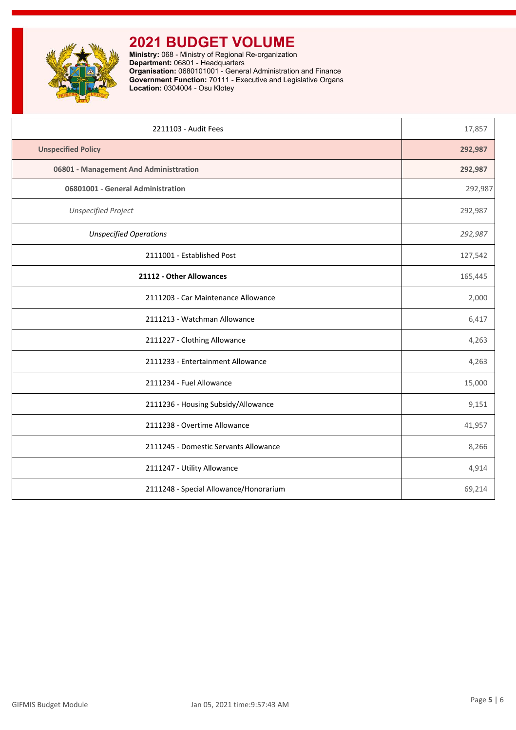

| 2211103 - Audit Fees                   | 17,857  |
|----------------------------------------|---------|
| <b>Unspecified Policy</b>              | 292,987 |
| 06801 - Management And Administtration | 292,987 |
| 06801001 - General Administration      | 292,987 |
| <b>Unspecified Project</b>             | 292,987 |
| <b>Unspecified Operations</b>          | 292,987 |
| 2111001 - Established Post             | 127,542 |
| 21112 - Other Allowances               | 165,445 |
| 2111203 - Car Maintenance Allowance    | 2,000   |
| 2111213 - Watchman Allowance           | 6,417   |
| 2111227 - Clothing Allowance           | 4,263   |
| 2111233 - Entertainment Allowance      | 4,263   |
| 2111234 - Fuel Allowance               | 15,000  |
| 2111236 - Housing Subsidy/Allowance    | 9,151   |
| 2111238 - Overtime Allowance           | 41,957  |
| 2111245 - Domestic Servants Allowance  | 8,266   |
| 2111247 - Utility Allowance            | 4,914   |
| 2111248 - Special Allowance/Honorarium | 69,214  |